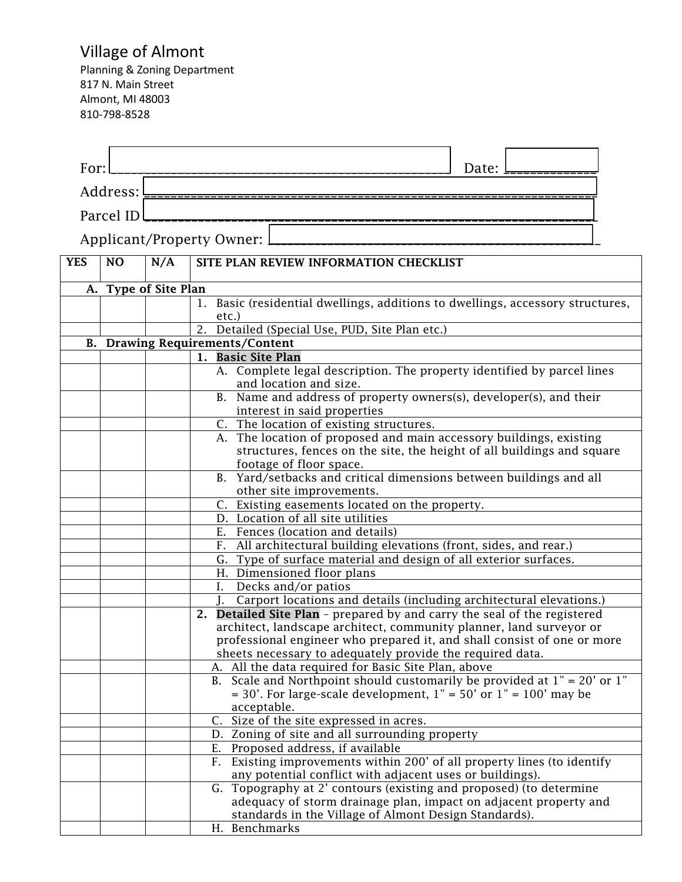## Village of Almont

Planning & Zoning Department 817 N. Main Street Almont, MI 48003 810-798-8528

| For:       |                      |     | Date:                                                                                                                                          |
|------------|----------------------|-----|------------------------------------------------------------------------------------------------------------------------------------------------|
|            | Address:             |     |                                                                                                                                                |
|            | Parcel ID            |     |                                                                                                                                                |
|            |                      |     |                                                                                                                                                |
|            |                      |     | Applicant/Property Owner:                                                                                                                      |
| <b>YES</b> | NO                   | N/A | SITE PLAN REVIEW INFORMATION CHECKLIST                                                                                                         |
|            |                      |     |                                                                                                                                                |
|            | A. Type of Site Plan |     |                                                                                                                                                |
|            |                      |     | Basic (residential dwellings, additions to dwellings, accessory structures,<br>1.                                                              |
|            |                      |     | etc.)<br>Detailed (Special Use, PUD, Site Plan etc.)<br>2.                                                                                     |
|            |                      |     | <b>B.</b> Drawing Requirements/Content                                                                                                         |
|            |                      |     | 1. Basic Site Plan                                                                                                                             |
|            |                      |     | A. Complete legal description. The property identified by parcel lines                                                                         |
|            |                      |     | and location and size.                                                                                                                         |
|            |                      |     | B. Name and address of property owners(s), developer(s), and their                                                                             |
|            |                      |     | interest in said properties<br>C. The location of existing structures.                                                                         |
|            |                      |     | A. The location of proposed and main accessory buildings, existing                                                                             |
|            |                      |     | structures, fences on the site, the height of all buildings and square                                                                         |
|            |                      |     | footage of floor space.                                                                                                                        |
|            |                      |     | B. Yard/setbacks and critical dimensions between buildings and all                                                                             |
|            |                      |     | other site improvements.                                                                                                                       |
|            |                      |     | C. Existing easements located on the property.                                                                                                 |
|            |                      |     | D. Location of all site utilities<br>E. Fences (location and details)                                                                          |
|            |                      |     | F. All architectural building elevations (front, sides, and rear.)                                                                             |
|            |                      |     | G. Type of surface material and design of all exterior surfaces.                                                                               |
|            |                      |     | H. Dimensioned floor plans                                                                                                                     |
|            |                      |     | $\overline{I}$ . Decks and/or patios                                                                                                           |
|            |                      |     | Carport locations and details (including architectural elevations.)                                                                            |
|            |                      |     | 2. Detailed Site Plan - prepared by and carry the seal of the registered                                                                       |
|            |                      |     | architect, landscape architect, community planner, land surveyor or<br>professional engineer who prepared it, and shall consist of one or more |
|            |                      |     | sheets necessary to adequately provide the required data.                                                                                      |
|            |                      |     | A. All the data required for Basic Site Plan, above                                                                                            |
|            |                      |     | B. Scale and Northpoint should customarily be provided at $1" = 20'$ or $1"$                                                                   |
|            |                      |     | $=$ 30'. For large-scale development, 1" = 50' or 1" = 100' may be                                                                             |
|            |                      |     | acceptable.                                                                                                                                    |
|            |                      |     | Size of the site expressed in acres.<br>$\mathsf{C}$ .<br>D. Zoning of site and all surrounding property                                       |
|            |                      |     | E. Proposed address, if available                                                                                                              |
|            |                      |     | F. Existing improvements within 200' of all property lines (to identify                                                                        |
|            |                      |     | any potential conflict with adjacent uses or buildings).                                                                                       |
|            |                      |     | G. Topography at 2' contours (existing and proposed) (to determine                                                                             |
|            |                      |     | adequacy of storm drainage plan, impact on adjacent property and                                                                               |
|            |                      |     | standards in the Village of Almont Design Standards).                                                                                          |
|            |                      |     | H. Benchmarks                                                                                                                                  |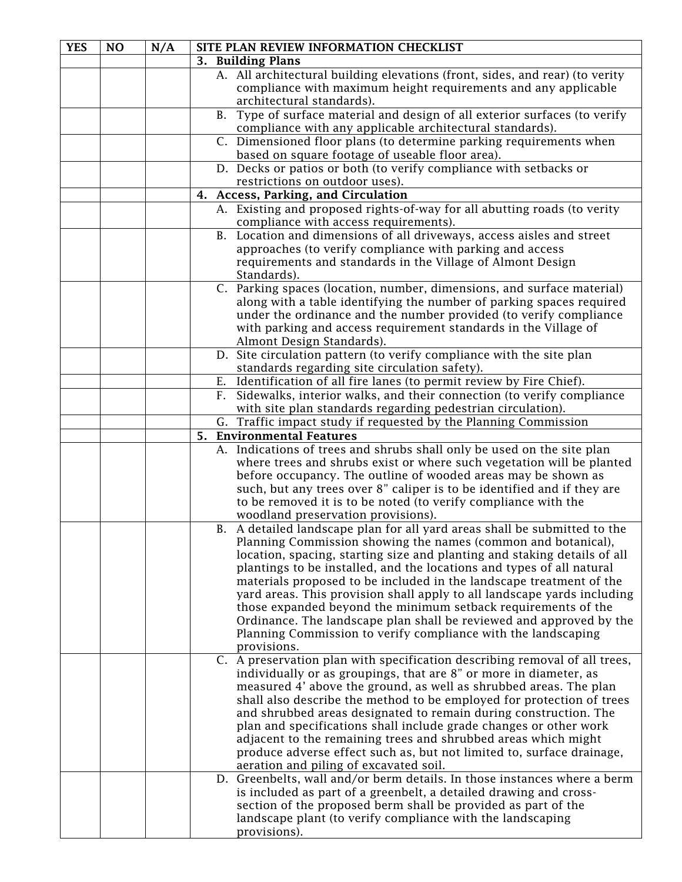| <b>YES</b> | <b>NO</b> | N/A | SITE PLAN REVIEW INFORMATION CHECKLIST                                                               |
|------------|-----------|-----|------------------------------------------------------------------------------------------------------|
|            |           |     | 3. Building Plans                                                                                    |
|            |           |     | A. All architectural building elevations (front, sides, and rear) (to verity                         |
|            |           |     | compliance with maximum height requirements and any applicable                                       |
|            |           |     | architectural standards).                                                                            |
|            |           |     | Type of surface material and design of all exterior surfaces (to verify<br>B.                        |
|            |           |     | compliance with any applicable architectural standards).                                             |
|            |           |     | C. Dimensioned floor plans (to determine parking requirements when                                   |
|            |           |     | based on square footage of useable floor area).                                                      |
|            |           |     | D. Decks or patios or both (to verify compliance with setbacks or                                    |
|            |           |     | restrictions on outdoor uses).                                                                       |
|            |           |     | <b>Access, Parking, and Circulation</b><br>4.                                                        |
|            |           |     | A. Existing and proposed rights-of-way for all abutting roads (to verity                             |
|            |           |     | compliance with access requirements).                                                                |
|            |           |     | B. Location and dimensions of all driveways, access aisles and street                                |
|            |           |     | approaches (to verify compliance with parking and access                                             |
|            |           |     | requirements and standards in the Village of Almont Design                                           |
|            |           |     | Standards).                                                                                          |
|            |           |     | C. Parking spaces (location, number, dimensions, and surface material)                               |
|            |           |     | along with a table identifying the number of parking spaces required                                 |
|            |           |     | under the ordinance and the number provided (to verify compliance                                    |
|            |           |     | with parking and access requirement standards in the Village of                                      |
|            |           |     | Almont Design Standards).                                                                            |
|            |           |     | D. Site circulation pattern (to verify compliance with the site plan                                 |
|            |           |     | standards regarding site circulation safety).                                                        |
|            |           |     | E. Identification of all fire lanes (to permit review by Fire Chief).                                |
|            |           |     | Sidewalks, interior walks, and their connection (to verify compliance<br>F.                          |
|            |           |     | with site plan standards regarding pedestrian circulation).                                          |
|            |           |     | G. Traffic impact study if requested by the Planning Commission                                      |
|            |           |     | <b>Environmental Features</b><br>5.                                                                  |
|            |           |     | A. Indications of trees and shrubs shall only be used on the site plan                               |
|            |           |     | where trees and shrubs exist or where such vegetation will be planted                                |
|            |           |     | before occupancy. The outline of wooded areas may be shown as                                        |
|            |           |     | such, but any trees over 8" caliper is to be identified and if they are                              |
|            |           |     | to be removed it is to be noted (to verify compliance with the<br>woodland preservation provisions). |
|            |           |     | B. A detailed landscape plan for all yard areas shall be submitted to the                            |
|            |           |     | Planning Commission showing the names (common and botanical),                                        |
|            |           |     | location, spacing, starting size and planting and staking details of all                             |
|            |           |     | plantings to be installed, and the locations and types of all natural                                |
|            |           |     | materials proposed to be included in the landscape treatment of the                                  |
|            |           |     | yard areas. This provision shall apply to all landscape yards including                              |
|            |           |     | those expanded beyond the minimum setback requirements of the                                        |
|            |           |     | Ordinance. The landscape plan shall be reviewed and approved by the                                  |
|            |           |     | Planning Commission to verify compliance with the landscaping                                        |
|            |           |     | provisions.                                                                                          |
|            |           |     | C. A preservation plan with specification describing removal of all trees,                           |
|            |           |     | individually or as groupings, that are 8" or more in diameter, as                                    |
|            |           |     | measured 4' above the ground, as well as shrubbed areas. The plan                                    |
|            |           |     | shall also describe the method to be employed for protection of trees                                |
|            |           |     | and shrubbed areas designated to remain during construction. The                                     |
|            |           |     | plan and specifications shall include grade changes or other work                                    |
|            |           |     | adjacent to the remaining trees and shrubbed areas which might                                       |
|            |           |     | produce adverse effect such as, but not limited to, surface drainage,                                |
|            |           |     | aeration and piling of excavated soil.                                                               |
|            |           |     | D. Greenbelts, wall and/or berm details. In those instances where a berm                             |
|            |           |     | is included as part of a greenbelt, a detailed drawing and cross-                                    |
|            |           |     | section of the proposed berm shall be provided as part of the                                        |
|            |           |     | landscape plant (to verify compliance with the landscaping                                           |
|            |           |     | provisions).                                                                                         |